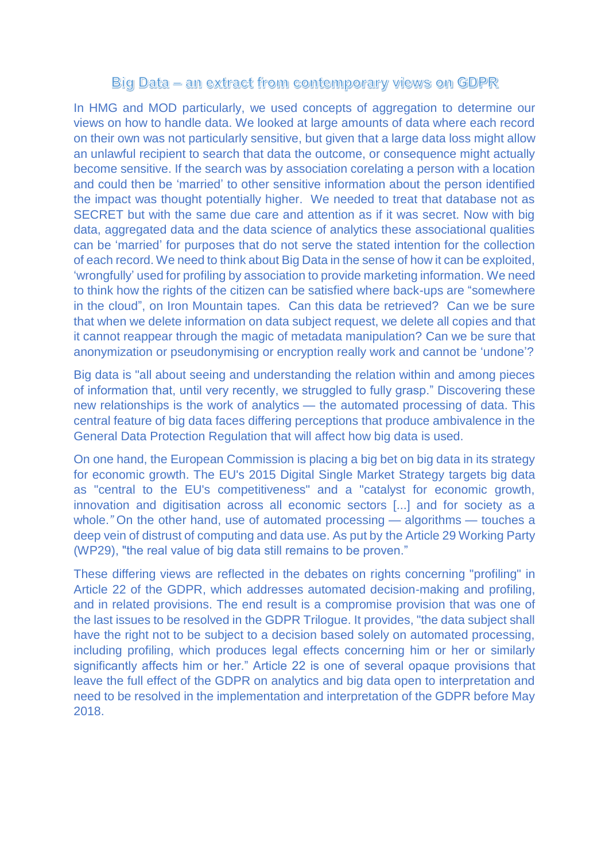## Big Data – an extract from contemporary views on GDPR

In HMG and MOD particularly, we used concepts of aggregation to determine our views on how to handle data. We looked at large amounts of data where each record on their own was not particularly sensitive, but given that a large data loss might allow an unlawful recipient to search that data the outcome, or consequence might actually become sensitive. If the search was by association corelating a person with a location and could then be 'married' to other sensitive information about the person identified the impact was thought potentially higher. We needed to treat that database not as SECRET but with the same due care and attention as if it was secret. Now with big data, aggregated data and the data science of analytics these associational qualities can be 'married' for purposes that do not serve the stated intention for the collection of each record. We need to think about Big Data in the sense of how it can be exploited, 'wrongfully' used for profiling by association to provide marketing information. We need to think how the rights of the citizen can be satisfied where back-ups are "somewhere in the cloud", on Iron Mountain tapes. Can this data be retrieved? Can we be sure that when we delete information on data subject request, we delete all copies and that it cannot reappear through the magic of metadata manipulation? Can we be sure that anonymization or pseudonymising or encryption really work and cannot be 'undone'?

Big data is "all about seeing and understanding the relation within and among pieces of information that, until very recently, we struggled to fully grasp." Discovering these new relationships is the work of analytics — the automated processing of data. This central feature of big data faces differing perceptions that produce ambivalence in the General Data Protection Regulation that will affect how big data is used.

On one hand, the European Commission is placing a big bet on big data in its strategy for economic growth. The EU's 2015 Digital Single Market Strategy [targets big data](http://eur-lex.europa.eu/legal-content/EN/TXT/PDF/?uri=CELEX:52015DC0192&from=EN) as "central to the EU's competitiveness" and a "catalyst for economic growth, innovation and digitisation across all economic sectors [...] and for society as a whole.*"* On the other hand, use of automated processing — algorithms — touches a deep vein of distrust of computing and data use. As put by [the Article 29 Working Party](http://ec.europa.eu/justice/data-protection/article-29/documentation/opinion-recommendation/files/2014/wp221_en.pdf)  [\(WP29\),](http://ec.europa.eu/justice/data-protection/article-29/documentation/opinion-recommendation/files/2014/wp221_en.pdf) "the real value of big data still remains to be proven."

These differing views are reflected in the debates on rights concerning "profiling" in [Article 22 of the GDPR,](http://eur-lex.europa.eu/legal-content/EN/TXT/PDF/?uri=CELEX:32016R0679&from=EN) which addresses automated decision-making and profiling, and in related provisions. The end result is a compromise provision that was one of the last issues to be resolved in the GDPR Trilogue. It provides, "the data subject shall have the right not to be subject to a decision based solely on automated processing, including profiling, which produces legal effects concerning him or her or similarly significantly affects him or her." Article 22 is one of several opaque provisions that leave the full effect of the GDPR on analytics and big data open to interpretation and need to be resolved in the implementation and interpretation of the GDPR before May 2018.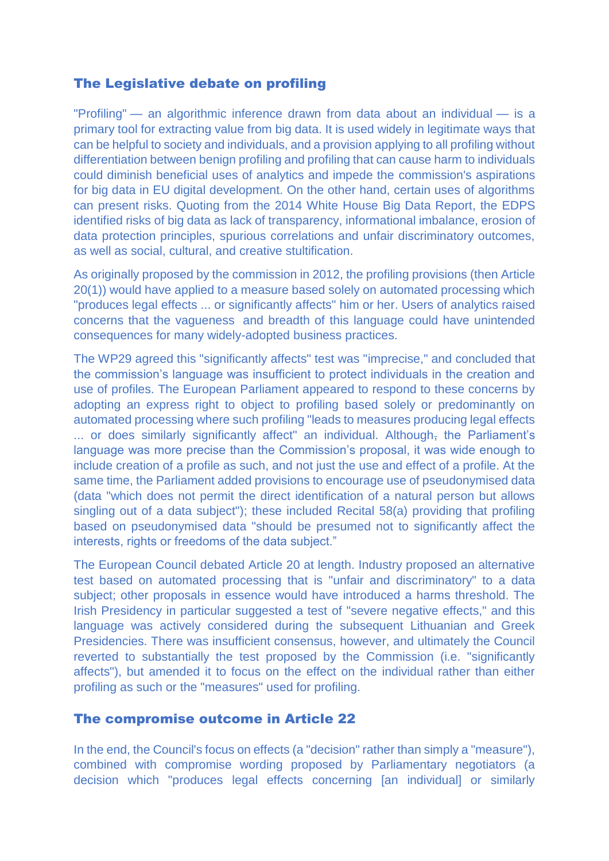## The Legislative debate on profiling

"Profiling" — an algorithmic inference drawn from data about an individual — is a primary tool for extracting value from big data. It is used widely in legitimate ways that can be helpful to society and individuals, and a provision applying to all profiling without differentiation between benign profiling and profiling that can cause harm to individuals could diminish beneficial uses of analytics and impede the commission's aspirations for big data in EU digital development. On the other hand, certain uses of algorithms can present risks. Quoting from the 2014 [White House Big Data Report,](https://www.whitehouse.gov/sites/default/files/docs/big_data_privacy_report_may_1_2014.pdf) the [EDPS](https://www.whitehouse.gov/sites/default/files/docs/big_data_privacy_report_may_1_2014.pdf)  [identified risks](https://www.whitehouse.gov/sites/default/files/docs/big_data_privacy_report_may_1_2014.pdf) of big data as lack of transparency, informational imbalance, erosion of data protection principles, spurious correlations and unfair discriminatory outcomes, as well as social, cultural, and creative stultification.

[As originally proposed](http://ec.europa.eu/justice/data-protection/article-29/documentation/opinion-recommendation/files/2012/wp191_en.pdf) by the commission in 2012, the profiling provisions (then Article 20(1)) would have applied to a measure based solely on automated processing which "produces legal effects ... or significantly affects" him or her. Users of analytics raised concerns that the vagueness and breadth of this language could have unintended consequences for many widely-adopted business practices.

The WP29 agreed this "significantly affects" test was ["imprecise,](http://ec.europa.eu/justice/data-protection/article-29/documentation/opinion-recommendation/files/2012/wp191_en.pdf)" and concluded that the commission's language was insufficient to protect individuals in the creation and use of profiles. The European Parliament appeared to respond to these concerns by [adopting](http://www.europarl.europa.eu/sides/getDoc.do?pubRef=-//EP//TEXT%20TA%20P7-TA-2014-0212%200%20DOC%20XML%20V0//EN) an express right to object to profiling based solely or predominantly on automated processing where such profiling "leads to measures producing legal effects ... or does similarly significantly affect" an individual. Although, the Parliament's language was more precise than the Commission's proposal, it was wide enough to include creation of a profile as such, and not just the use and effect of a profile. At the same time, the Parliament added provisions to encourage use of pseudonymised data (data "which does not permit the direct identification of a natural person but allows singling out of a data subject"); these included Recital 58(a) providing that profiling based on pseudonymised data "should be presumed not to significantly affect the interests, rights or freedoms of the data subject."

The European Council debated Article 20 at length. Industry proposed an alternative test based on automated processing that is "unfair and discriminatory" to a data subject; other proposals in essence would have introduced a harms threshold. The Irish Presidency in particular [suggested a test](http://ec.europa.eu/justice/data-protection/article-29/documentation/opinion-recommendation/files/2012/wp191_en.pdf) of "severe negative effects," and this language was actively considered during the subsequent Lithuanian and Greek Presidencies. There was insufficient consensus, however, and ultimately the Council reverted to substantially the test proposed by the Commission (i.e. "significantly affects"), but amended it to focus on the effect on the individual rather than either profiling as such or the "measures" used for profiling.

## The compromise outcome in Article 22

In the end, the Council's focus on effects (a "decision" rather than simply a "measure"), combined with compromise wording proposed by Parliamentary negotiators (a decision which "produces legal effects concerning [an individual] or similarly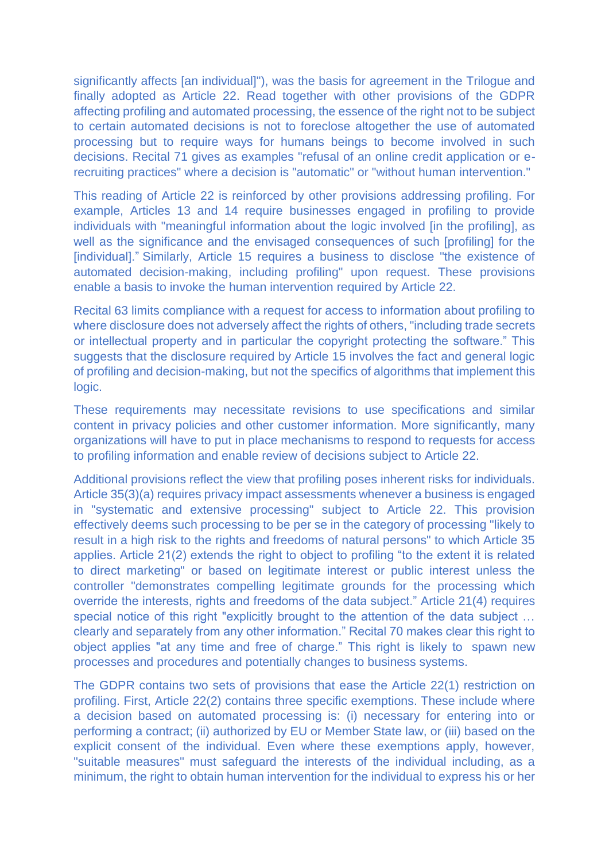significantly affects [an individual]"), was the basis for agreement in the Trilogue and finally adopted as Article 22. Read together with other provisions of the GDPR affecting profiling and automated processing, the essence of the right not to be subject to certain automated decisions is not to foreclose altogether the use of automated processing but to require ways for humans beings to become involved in such decisions. Recital 71 gives as examples "refusal of an online credit application or erecruiting practices" where a decision is "automatic" or "without human intervention."

This reading of Article 22 is reinforced by other provisions addressing profiling. For example, Articles 13 and 14 require businesses engaged in profiling to provide individuals with "meaningful information about the logic involved [in the profiling], as well as the significance and the envisaged consequences of such [profiling] for the [individual]." Similarly, Article 15 requires a business to disclose "the existence of automated decision-making, including profiling" upon request. These provisions enable a basis to invoke the human intervention required by Article 22.

Recital 63 limits compliance with a request for access to information about profiling to where disclosure does not adversely affect the rights of others, "including trade secrets or intellectual property and in particular the copyright protecting the software." This suggests that the disclosure required by Article 15 involves the fact and general logic of profiling and decision-making, but not the specifics of algorithms that implement this logic.

These requirements may necessitate revisions to use specifications and similar content in privacy policies and other customer information. More significantly, many organizations will have to put in place mechanisms to respond to requests for access to profiling information and enable review of decisions subject to Article 22.

Additional provisions reflect the view that profiling poses inherent risks for individuals. Article 35(3)(a) requires privacy impact assessments whenever a business is engaged in "systematic and extensive processing" subject to Article 22. This provision effectively deems such processing to be per se in the category of processing "likely to result in a high risk to the rights and freedoms of natural persons" to which Article 35 applies. Article 21(2) extends the right to object to profiling "to the extent it is related to direct marketing" or based on legitimate interest or public interest unless the controller "demonstrates compelling legitimate grounds for the processing which override the interests, rights and freedoms of the data subject." Article 21(4) requires special notice of this right "explicitly brought to the attention of the data subject … clearly and separately from any other information." Recital 70 makes clear this right to object applies "at any time and free of charge." This right is likely to spawn new processes and procedures and potentially changes to business systems.

The GDPR contains two sets of provisions that ease the Article 22(1) restriction on profiling. First, Article 22(2) contains three specific exemptions. These include where a decision based on automated processing is: (i) necessary for entering into or performing a contract; (ii) authorized by EU or Member State law, or (iii) based on the explicit consent of the individual. Even where these exemptions apply, however, "suitable measures" must safeguard the interests of the individual including, as a minimum, the right to obtain human intervention for the individual to express his or her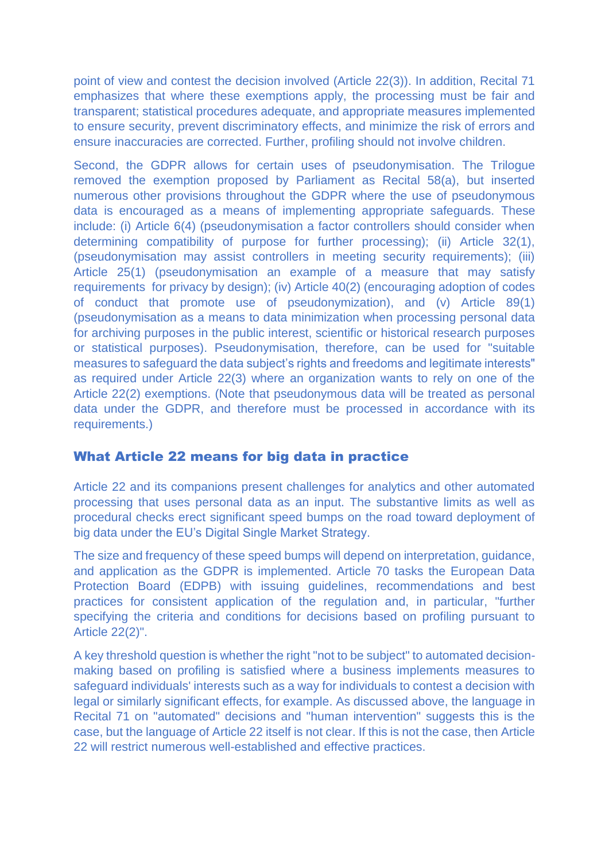point of view and contest the decision involved (Article 22(3)). In addition, Recital 71 emphasizes that where these exemptions apply, the processing must be fair and transparent; statistical procedures adequate, and appropriate measures implemented to ensure security, prevent discriminatory effects, and minimize the risk of errors and ensure inaccuracies are corrected. Further, profiling should not involve children.

Second, the GDPR allows for certain uses of pseudonymisation. The Trilogue removed the exemption proposed by Parliament as Recital 58(a), but inserted numerous other provisions throughout the GDPR where the use of pseudonymous data is encouraged as a means of implementing appropriate safeguards. These include: (i) Article 6(4) (pseudonymisation a factor controllers should consider when determining compatibility of purpose for further processing); (ii) Article 32(1), (pseudonymisation may assist controllers in meeting security requirements); (iii) Article 25(1) (pseudonymisation an example of a measure that may satisfy requirements for privacy by design); (iv) Article 40(2) (encouraging adoption of codes of conduct that promote use of pseudonymization), and (v) Article 89(1) (pseudonymisation as a means to data minimization when processing personal data for archiving purposes in the public interest, scientific or historical research purposes or statistical purposes). Pseudonymisation, therefore, can be used for "suitable measures to safeguard the data subject's rights and freedoms and legitimate interests" as required under Article 22(3) where an organization wants to rely on one of the Article 22(2) exemptions. (Note that pseudonymous data will be treated as personal data under the GDPR, and therefore must be processed in accordance with its requirements.)

## What Article 22 means for big data in practice

Article 22 and its companions present challenges for analytics and other automated processing that uses personal data as an input. The substantive limits as well as procedural checks erect significant speed bumps on the road toward deployment of big data under the EU's Digital Single Market Strategy.

The size and frequency of these speed bumps will depend on interpretation, guidance, and application as the GDPR is implemented. Article 70 tasks the European Data Protection Board (EDPB) with issuing guidelines, recommendations and best practices for consistent application of the regulation and, in particular, "further specifying the criteria and conditions for decisions based on profiling pursuant to Article 22(2)".

A key threshold question is whether the right "not to be subject" to automated decisionmaking based on profiling is satisfied where a business implements measures to safeguard individuals' interests such as a way for individuals to contest a decision with legal or similarly significant effects, for example. As discussed above, the language in Recital 71 on "automated" decisions and "human intervention" suggests this is the case, but the language of Article 22 itself is not clear. If this is not the case, then Article 22 will restrict numerous well-established and effective practices.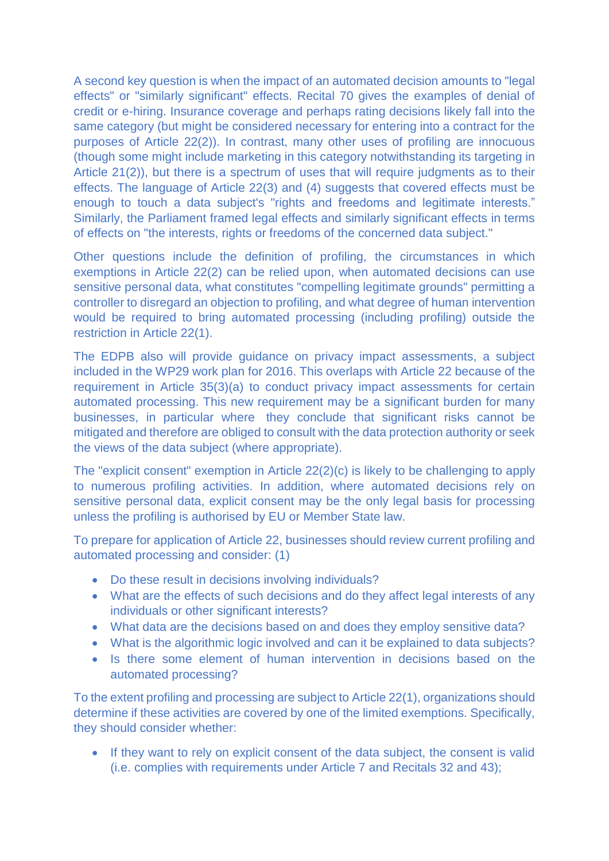A second key question is when the impact of an automated decision amounts to "legal effects" or "similarly significant" effects. Recital 70 gives the examples of denial of credit or e-hiring. Insurance coverage and perhaps rating decisions likely fall into the same category (but might be considered necessary for entering into a contract for the purposes of Article 22(2)). In contrast, many other uses of profiling are innocuous (though some might include marketing in this category notwithstanding its targeting in Article 21(2)), but there is a spectrum of uses that will require judgments as to their effects. The language of Article 22(3) and (4) suggests that covered effects must be enough to touch a data subject's "rights and freedoms and legitimate interests." Similarly, the Parliament framed legal effects and similarly significant effects in terms of effects on "the interests, rights or freedoms of the concerned data subject."

Other questions include the definition of profiling, the circumstances in which exemptions in Article 22(2) can be relied upon, when automated decisions can use sensitive personal data, what constitutes "compelling legitimate grounds" permitting a controller to disregard an objection to profiling, and what degree of human intervention would be required to bring automated processing (including profiling) outside the restriction in Article 22(1).

The EDPB also will provide guidance on privacy impact assessments, a subject included in the WP29 work plan for 2016. This overlaps with Article 22 because of the requirement in Article 35(3)(a) to conduct privacy impact assessments for certain automated processing. This new requirement may be a significant burden for many businesses, in particular where they conclude that significant risks cannot be mitigated and therefore are obliged to consult with the data protection authority or seek the views of the data subject (where appropriate).

The "explicit consent" exemption in Article 22(2)(c) is likely to be challenging to apply to numerous profiling activities. In addition, where automated decisions rely on sensitive personal data, explicit consent may be the only legal basis for processing unless the profiling is authorised by EU or Member State law.

To prepare for application of Article 22, businesses should review current profiling and automated processing and consider: (1)

- Do these result in decisions involving individuals?
- What are the effects of such decisions and do they affect legal interests of any individuals or other significant interests?
- What data are the decisions based on and does they employ sensitive data?
- What is the algorithmic logic involved and can it be explained to data subjects?
- Is there some element of human intervention in decisions based on the automated processing?

To the extent profiling and processing are subject to Article 22(1), organizations should determine if these activities are covered by one of the limited exemptions. Specifically, they should consider whether:

• If they want to rely on explicit consent of the data subject, the consent is valid (i.e. complies with requirements under Article 7 and Recitals 32 and 43);